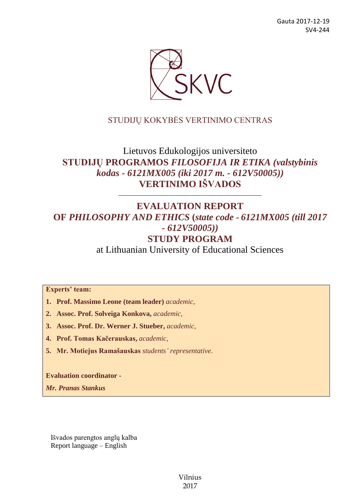

# STUDIJŲ KOKYBĖS VERTINIMO CENTRAS

# Lietuvos Edukologijos universiteto **STUDIJŲ PROGRAMOS** *FILOSOFIJA IR ETIKA (valstybinis kodas - 6121MX005 (iki 2017 m. - 612V50005))* **VERTINIMO IŠVADOS**

––––––––––––––––––––––––––––––

# **EVALUATION REPORT OF** *PHILOSOPHY AND ETHICS* **(***state code - 6121MX005 (till 2017 - 612V50005))* **STUDY PROGRAM**

at Lithuanian University of Educational Sciences

**Experts' team:** 

- **1. Prof. Massimo Leone (team leader)** *academic,*
- **2. Assoc. Prof. Solveiga Konkova,** *academic,*
- **3. Assoc. Prof. Dr. Werner J. Stueber,** *academic,*
- **4. Prof. Tomas Kačerauskas,** *academic,*
- **5. Mr. Motiejus Ramašauskas** *students' representative*.

**Evaluation coordinator -**

*Mr. Pranas Stankus*

Išvados parengtos anglų kalba Report language – English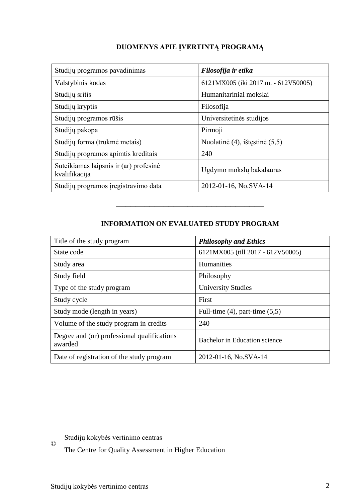# **DUOMENYS APIE ĮVERTINTĄ PROGRAMĄ**

| Studijų programos pavadinimas                           | Filosofija ir etika                 |
|---------------------------------------------------------|-------------------------------------|
| Valstybinis kodas                                       | 6121MX005 (iki 2017 m. - 612V50005) |
| Studijų sritis                                          | Humanitariniai mokslai              |
| Studijų kryptis                                         | Filosofija                          |
| Studijų programos rūšis                                 | Universitetinės studijos            |
| Studijų pakopa                                          | Pirmoji                             |
| Studijų forma (trukmė metais)                           | Nuolatinė $(4)$ , ištęstinė $(5,5)$ |
| Studijų programos apimtis kreditais                     | 240                                 |
| Suteikiamas laipsnis ir (ar) profesinė<br>kvalifikacija | Ugdymo mokslų bakalauras            |
| Studijų programos įregistravimo data                    | 2012-01-16, No.SVA-14               |

# **INFORMATION ON EVALUATED STUDY PROGRAM**

–––––––––––––––––––––––––––––––

| Title of the study program                             | <b>Philosophy and Ethics</b>        |
|--------------------------------------------------------|-------------------------------------|
| State code                                             | 6121MX005 (till 2017 - 612V50005)   |
| Study area                                             | <b>Humanities</b>                   |
| Study field                                            | Philosophy                          |
| Type of the study program                              | <b>University Studies</b>           |
| Study cycle                                            | First                               |
| Study mode (length in years)                           | Full-time $(4)$ , part-time $(5,5)$ |
| Volume of the study program in credits                 | 240                                 |
| Degree and (or) professional qualifications<br>awarded | Bachelor in Education science       |
| Date of registration of the study program              | 2012-01-16, No.SVA-14               |

Studijų kokybės vertinimo centras

The Centre for Quality Assessment in Higher Education

©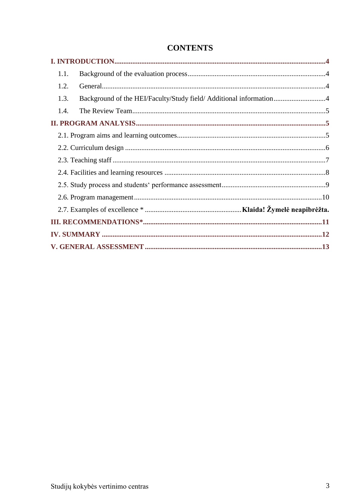| 1.1.                                                                       |  |
|----------------------------------------------------------------------------|--|
| 1.2.                                                                       |  |
| Background of the HEI/Faculty/Study field/ Additional information4<br>1.3. |  |
| 1.4.                                                                       |  |
|                                                                            |  |
|                                                                            |  |
|                                                                            |  |
|                                                                            |  |
|                                                                            |  |
|                                                                            |  |
|                                                                            |  |
|                                                                            |  |
|                                                                            |  |
|                                                                            |  |
|                                                                            |  |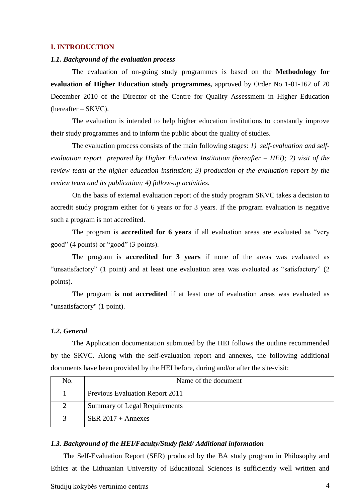#### <span id="page-3-0"></span>**I. INTRODUCTION**

#### <span id="page-3-1"></span>*1.1. Background of the evaluation process*

The evaluation of on-going study programmes is based on the **Methodology for evaluation of Higher Education study programmes,** approved by Order No 1-01-162 of 20 December 2010 of the Director of the Centre for Quality Assessment in Higher Education (hereafter – SKVC).

The evaluation is intended to help higher education institutions to constantly improve their study programmes and to inform the public about the quality of studies.

The evaluation process consists of the main following stages: *1) self-evaluation and selfevaluation report prepared by Higher Education Institution (hereafter – HEI); 2) visit of the review team at the higher education institution; 3) production of the evaluation report by the review team and its publication; 4) follow-up activities.* 

On the basis of external evaluation report of the study program SKVC takes a decision to accredit study program either for 6 years or for 3 years. If the program evaluation is negative such a program is not accredited.

The program is **accredited for 6 years** if all evaluation areas are evaluated as "very good" (4 points) or "good" (3 points).

The program is **accredited for 3 years** if none of the areas was evaluated as "unsatisfactory" (1 point) and at least one evaluation area was evaluated as "satisfactory" (2 points).

The program **is not accredited** if at least one of evaluation areas was evaluated as "unsatisfactory" (1 point).

#### <span id="page-3-2"></span>*1.2. General*

The Application documentation submitted by the HEI follows the outline recommended by the SKVC. Along with the self-evaluation report and annexes, the following additional documents have been provided by the HEI before, during and/or after the site-visit:

| No. | Name of the document                   |
|-----|----------------------------------------|
|     | <b>Previous Evaluation Report 2011</b> |
|     | Summary of Legal Requirements          |
|     | SER $2017 +$ Annexes                   |

#### <span id="page-3-3"></span>*1.3. Background of the HEI/Faculty/Study field/ Additional information*

The Self-Evaluation Report (SER) produced by the BA study program in Philosophy and Ethics at the Lithuanian University of Educational Sciences is sufficiently well written and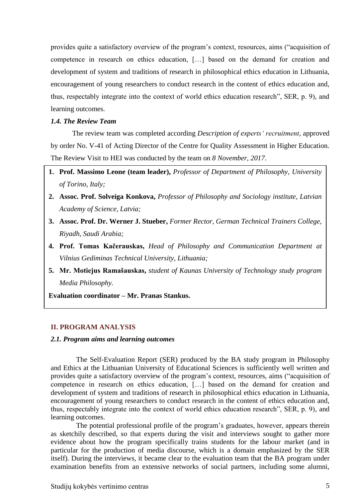provides quite a satisfactory overview of the program's context, resources, aims ("acquisition of competence in research on ethics education, […] based on the demand for creation and development of system and traditions of research in philosophical ethics education in Lithuania, encouragement of young researchers to conduct research in the content of ethics education and, thus, respectably integrate into the context of world ethics education research", SER, p. 9), and learning outcomes.

#### <span id="page-4-0"></span>*1.4. The Review Team*

The review team was completed according *Description of experts' recruitment*, approved by order No. V-41 of Acting Director of the Centre for Quality Assessment in Higher Education. The Review Visit to HEI was conducted by the team on *8 November, 2017.*

- **1. Prof. Massimo Leone (team leader),** *Professor of Department of Philosophy, University of Torino, Italy;*
- **2. Assoc. Prof. Solveiga Konkova,** *Professor of Philosophy and Sociology institute, Latvian Academy of Science, Latvia;*
- **3. Assoc. Prof. Dr. Werner J. Stueber,** *Former Rector, German Technical Trainers College, Riyadh, Saudi Arabia;*
- <span id="page-4-1"></span>**4. Prof. Tomas Kačerauskas,** *Head of Philosophy and Communication Department at Vilnius Gediminas Technical University, Lithuania;*
- **5. Mr. Motiejus Ramašauskas,** *student of Kaunas University of Technology study program Media Philosophy.*

**Evaluation coordinator – Mr. Pranas Stankus.**

### **II. PROGRAM ANALYSIS**

#### <span id="page-4-2"></span>*2.1. Program aims and learning outcomes*

The Self-Evaluation Report (SER) produced by the BA study program in Philosophy and Ethics at the Lithuanian University of Educational Sciences is sufficiently well written and provides quite a satisfactory overview of the program's context, resources, aims ("acquisition of competence in research on ethics education, […] based on the demand for creation and development of system and traditions of research in philosophical ethics education in Lithuania, encouragement of young researchers to conduct research in the content of ethics education and, thus, respectably integrate into the context of world ethics education research", SER, p. 9), and learning outcomes.

The potential professional profile of the program's graduates, however, appears therein as sketchily described, so that experts during the visit and interviews sought to gather more evidence about how the program specifically trains students for the labour market (and in particular for the production of media discourse, which is a domain emphasized by the SER itself). During the interviews, it became clear to the evaluation team that the BA program under examination benefits from an extensive networks of social partners, including some alumni,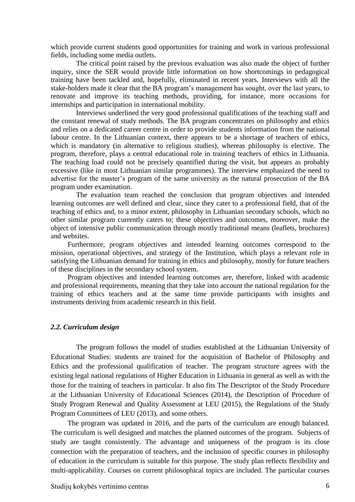which provide current students good opportunities for training and work in various professional fields, including some media outlets.

The critical point raised by the previous evaluation was also made the object of further inquiry, since the SER would provide little information on how shortcomings in pedagogical training have been tackled and, hopefully, eliminated in recent years. Interviews with all the stake-holders made it clear that the BA program's management has sought, over the last years, to renovate and improve its teaching methods, providing, for instance, more occasions for internships and participation in international mobility.

Interviews underlined the very good professional qualifications of the teaching staff and the constant renewal of study methods. The BA program concentrates on philosophy and ethics and relies on a dedicated career centre in order to provide students information from the national labour centre. In the Lithuanian context, there appears to be a shortage of teachers of ethics, which is mandatory (in alternative to religious studies), whereas philosophy is elective. The program, therefore, plays a central educational role in training teachers of ethics in Lithuania. The teaching load could not be precisely quantified during the visit, but appears as probably excessive (like in most Lithuanian similar programmes). The interview emphasized the need to advertise for the master's program of the same university as the natural prosecution of the BA program under examination.

The evaluation team reached the conclusion that program objectives and intended learning outcomes are well defined and clear, since they cater to a professional field, that of the teaching of ethics and, to a minor extent, philosophy in Lithuanian secondary schools, which no other similar program currently caters to; these objectives and outcomes, moreover, make the object of intensive public communication through mostly traditional means (leaflets, brochures) and websites.

Furthermore, program objectives and intended learning outcomes correspond to the mission, operational objectives, and strategy of the Institution, which plays a relevant role in satisfying the Lithuanian demand for training in ethics and philosophy, mostly for future teachers of these disciplines in the secondary school system.

Program objectives and intended learning outcomes are, therefore, linked with academic and professional requirements, meaning that they take into account the national regulation for the training of ethics teachers and at the same time provide participants with insights and instruments deriving from academic research in this field.

#### <span id="page-5-0"></span>*2.2. Curriculum design*

The program follows the model of studies established at the Lithuanian University of Educational Studies: students are trained for the acquisition of Bachelor of Philosophy and Ethics and the professional qualification of teacher. The program structure agrees with the existing legal national regulations of Higher Education in Lithuania in general as well as with the those for the training of teachers in particular. It also fits The Descriptor of the Study Procedure at the Lithuanian University of Educational Sciences (2014), the Description of Procedure of Study Program Renewal and Quality Assessment at LEU (2015), the Regulations of the Study Program Committees of LEU (2013), and some others.

The program was updated in 2016, and the parts of the curriculum are enough balanced. The curriculum is well designed and matches the planned outcomes of the program. Subjects of study are taught consistently. The advantage and uniqueness of the program is its close connection with the preparation of teachers, and the inclusion of specific courses in philosophy of education in the curriculum is suitable for this purpose. The study plan reflects flexibility and multi-applicability. Courses on current philosophical topics are included. The particular courses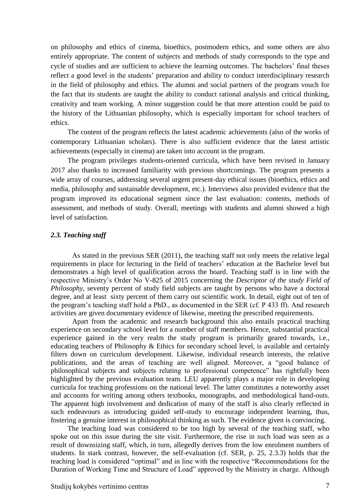on philosophy and ethics of cinema, bioethics, postmodern ethics, and some others are also entirely appropriate. The content of subjects and methods of study corresponds to the type and cycle of studies and are sufficient to achieve the learning outcomes. The bachelors' final theses reflect a good level in the students' preparation and ability to conduct interdisciplinary research in the field of philosophy and ethics. The alumni and social partners of the program vouch for the fact that its students are taught the ability to conduct rational analysis and critical thinking, creativity and team working. A minor suggestion could be that more attention could be paid to the history of the Lithuanian philosophy, which is especially important for school teachers of ethics.

The content of the program reflects the latest academic achievements (also of the works of contemporary Lithuanian scholars). There is also sufficient evidence that the latest artistic achievements (especially in cinema) are taken into account in the program.

The program privileges students-oriented curricula, which have been revised in January 2017 also thanks to increased familiarity with previous shortcomings. The program presents a wide array of courses, addressing several urgent present-day ethical issues (bioethics, ethics and media, philosophy and sustainable development, etc.). Interviews also provided evidence that the program improved its educational segment since the last evaluation: contents, methods of assessment, and methods of study. Overall, meetings with students and alumni showed a high level of satisfaction.

#### <span id="page-6-0"></span>*2.3. Teaching staff*

As stated in the previous SER (2011), the teaching staff not only meets the relative legal requirements in place for lecturing in the field of teachers' education at the Bachelor level but demonstrates a high level of qualification across the board. Teaching staff is in line with the respective Ministry's Order No V-825 of 2015 concerning the *Descriptor of the study Field of Philosophy*, seventy percent of study field subjects are taught by persons who have a doctoral degree, and at least sixty percent of them carry out scientific work. In detail, eight out of ten of the program's teaching staff hold a PhD., as documented in the SER (cf. P 433 ff). And research activities are given documentary evidence of likewise, meeting the prescribed requirements.

Apart from the academic and research background this also entails practical teaching experience on secondary school level for a number of staff members. Hence, substantial practical experience gained in the very realm the study program is primarily geared towards, i.e., educating teachers of Philosophy & Ethics for secondary school level, is available and certainly filters down on curriculum development. Likewise, individual research interests, the relative publications, and the areas of teaching are well aligned. Moreover, a "good balance of philosophical subjects and subjects relating to professional competence" has rightfully been highlighted by the previous evaluation team. LEU apparently plays a major role in developing curricula for teaching professions on the national level. The latter constitutes a noteworthy asset and accounts for writing among others textbooks, monographs, and methodological hand-outs. The apparent high involvement and dedication of many of the staff is also clearly reflected in such endeavours as introducing guided self-study to encourage independent learning, thus, fostering a genuine interest in philosophical thinking as such. The evidence given is convincing.

The teaching load was considered to be too high by several of the teaching staff, who spoke out on this issue during the site visit. Furthermore, the rise in such load was seen as a result of downsizing staff, which, in turn, allegedly derives from the low enrolment numbers of students. In stark contrast, however, the self-evaluation (cf. SER, p. 25, 2.3.3) holds that the teaching load is considered "optimal" and in line with the respective "Recommendations for the Duration of Working Time and Structure of Load" approved by the Ministry in charge. Although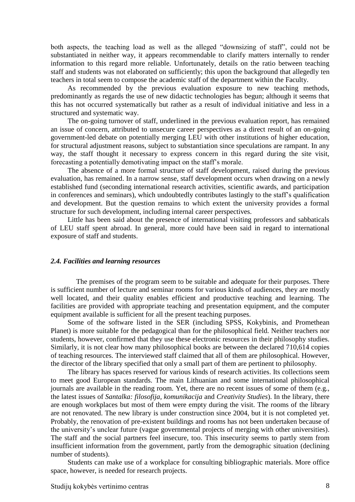both aspects, the teaching load as well as the alleged "downsizing of staff", could not be substantiated in neither way, it appears recommendable to clarify matters internally to render information to this regard more reliable. Unfortunately, details on the ratio between teaching staff and students was not elaborated on sufficiently; this upon the background that allegedly ten teachers in total seem to compose the academic staff of the department within the Faculty.

As recommended by the previous evaluation exposure to new teaching methods, predominantly as regards the use of new didactic technologies has begun; although it seems that this has not occurred systematically but rather as a result of individual initiative and less in a structured and systematic way.

The on-going turnover of staff, underlined in the previous evaluation report, has remained an issue of concern, attributed to unsecure career perspectives as a direct result of an on-going government-led debate on potentially merging LEU with other institutions of higher education, for structural adjustment reasons, subject to substantiation since speculations are rampant. In any way, the staff thought it necessary to express concern in this regard during the site visit, forecasting a potentially demotivating impact on the staff's morale.

The absence of a more formal structure of staff development, raised during the previous evaluation, has remained. In a narrow sense, staff development occurs when drawing on a newly established fund (seconding international research activities, scientific awards, and participation in conferences and seminars), which undoubtedly contributes lastingly to the staff's qualification and development. But the question remains to which extent the university provides a formal structure for such development, including internal career perspectives.

Little has been said about the presence of international visiting professors and sabbaticals of LEU staff spent abroad. In general, more could have been said in regard to international exposure of staff and students.

#### <span id="page-7-0"></span>*2.4. Facilities and learning resources*

The premises of the program seem to be suitable and adequate for their purposes. There is sufficient number of lecture and seminar rooms for various kinds of audiences, they are mostly well located, and their quality enables efficient and productive teaching and learning. The facilities are provided with appropriate teaching and presentation equipment, and the computer equipment available is sufficient for all the present teaching purposes.

Some of the software listed in the SER (including SPSS, Kokybinis, and Promethean Planet) is more suitable for the pedagogical than for the philosophical field. Neither teachers nor students, however, confirmed that they use these electronic resources in their philosophy studies. Similarly, it is not clear how many philosophical books are between the declared 710,614 copies of teaching resources. The interviewed staff claimed that all of them are philosophical. However, the director of the library specified that only a small part of them are pertinent to philosophy.

The library has spaces reserved for various kinds of research activities. Its collections seem to meet good European standards. The main Lithuanian and some international philosophical journals are available in the reading room. Yet, there are no recent issues of some of them (e.g., the latest issues of *Santalka: filosofija, komunikacija* and *Creativity Studies*). In the library, there are enough workplaces but most of them were empty during the visit. The rooms of the library are not renovated. The new library is under construction since 2004, but it is not completed yet. Probably, the renovation of pre-existent buildings and rooms has not been undertaken because of the university's unclear future (vague governmental projects of merging with other universities). The staff and the social partners feel insecure, too. This insecurity seems to partly stem from insufficient information from the government, partly from the demographic situation (declining number of students).

Students can make use of a workplace for consulting bibliographic materials. More office space, however, is needed for research projects.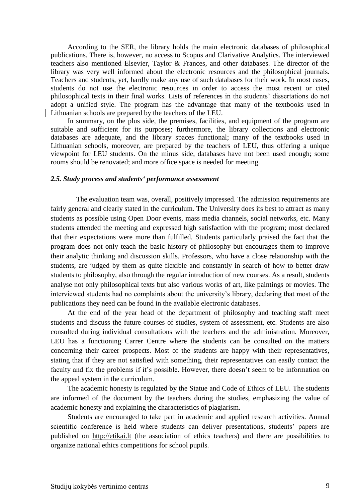According to the SER, the library holds the main electronic databases of philosophical publications. There is, however, no access to Scopus and Clarivative Analytics. The interviewed teachers also mentioned Elsevier, Taylor & Frances, and other databases. The director of the library was very well informed about the electronic resources and the philosophical journals. Teachers and students, yet, hardly make any use of such databases for their work. In most cases, students do not use the electronic resources in order to access the most recent or cited philosophical texts in their final works. Lists of references in the students' dissertations do not adopt a unified style. The program has the advantage that many of the textbooks used in Lithuanian schools are prepared by the teachers of the LEU.

In summary, on the plus side, the premises, facilities, and equipment of the program are suitable and sufficient for its purposes; furthermore, the library collections and electronic databases are adequate, and the library spaces functional; many of the textbooks used in Lithuanian schools, moreover, are prepared by the teachers of LEU, thus offering a unique viewpoint for LEU students. On the minus side, databases have not been used enough; some rooms should be renovated; and more office space is needed for meeting.

#### <span id="page-8-0"></span>*2.5. Study process and students' performance assessment*

The evaluation team was, overall, positively impressed. The admission requirements are fairly general and clearly stated in the curriculum. The University does its best to attract as many students as possible using Open Door events, mass media channels, social networks, etc. Many students attended the meeting and expressed high satisfaction with the program; most declared that their expectations were more than fulfilled. Students particularly praised the fact that the program does not only teach the basic history of philosophy but encourages them to improve their analytic thinking and discussion skills. Professors, who have a close relationship with the students, are judged by them as quite flexible and constantly in search of how to better draw students to philosophy, also through the regular introduction of new courses. As a result, students analyse not only philosophical texts but also various works of art, like paintings or movies. The interviewed students had no complaints about the university's library, declaring that most of the publications they need can be found in the available electronic databases.

At the end of the year head of the department of philosophy and teaching staff meet students and discuss the future courses of studies, system of assessment, etc. Students are also consulted during individual consultations with the teachers and the administration. Moreover, LEU has a functioning Carrer Centre where the students can be consulted on the matters concerning their career prospects. Most of the students are happy with their representatives, stating that if they are not satisfied with something, their representatives can easily contact the faculty and fix the problems if it's possible. However, there doesn't seem to be information on the appeal system in the curriculum.

The academic honesty is regulated by the Statue and Code of Ethics of LEU. The students are informed of the document by the teachers during the studies, emphasizing the value of academic honesty and explaining the characteristics of plagiarism.

Students are encouraged to take part in academic and applied research activities. Annual scientific conference is held where students can deliver presentations, students' papers are published on [http://etikai.lt](http://etikai.lt/) (the association of ethics teachers) and there are possibilities to organize national ethics competitions for school pupils.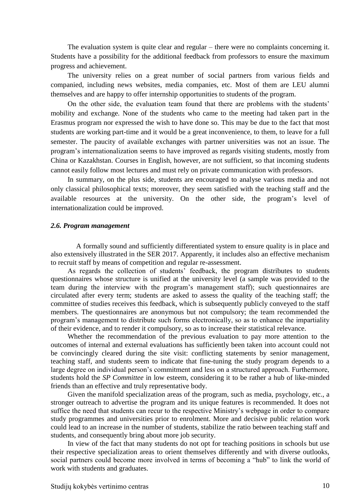The evaluation system is quite clear and regular – there were no complaints concerning it. Students have a possibility for the additional feedback from professors to ensure the maximum progress and achievement.

The university relies on a great number of social partners from various fields and companied, including news websites, media companies, etc. Most of them are LEU alumni themselves and are happy to offer internship opportunities to students of the program.

On the other side, the evaluation team found that there are problems with the students' mobility and exchange. None of the students who came to the meeting had taken part in the Erasmus program nor expressed the wish to have done so. This may be due to the fact that most students are working part-time and it would be a great inconvenience, to them, to leave for a full semester. The paucity of available exchanges with partner universities was not an issue. The program's internationalization seems to have improved as regards visiting students, mostly from China or Kazakhstan. Courses in English, however, are not sufficient, so that incoming students cannot easily follow most lectures and must rely on private communication with professors.

In summary, on the plus side, students are encouraged to analyse various media and not only classical philosophical texts; moreover, they seem satisfied with the teaching staff and the available resources at the university. On the other side, the program's level of internationalization could be improved.

#### <span id="page-9-0"></span>*2.6. Program management*

A formally sound and sufficiently differentiated system to ensure quality is in place and also extensively illustrated in the SER 2017. Apparently, it includes also an effective mechanism to recruit staff by means of competition and regular re-assessment.

As regards the collection of students' feedback, the program distributes to students questionnaires whose structure is unified at the university level (a sample was provided to the team during the interview with the program's management staff); such questionnaires are circulated after every term; students are asked to assess the quality of the teaching staff; the committee of studies receives this feedback, which is subsequently publicly conveyed to the staff members. The questionnaires are anonymous but not compulsory; the team recommended the program's management to distribute such forms electronically, so as to enhance the impartiality of their evidence, and to render it compulsory, so as to increase their statistical relevance.

Whether the recommendation of the previous evaluation to pay more attention to the outcomes of internal and external evaluations has sufficiently been taken into account could not be convincingly cleared during the site visit: conflicting statements by senior management, teaching staff, and students seem to indicate that fine-tuning the study program depends to a large degree on individual person's commitment and less on a structured approach. Furthermore, students hold the *SP Committee* in low esteem, considering it to be rather a hub of like-minded friends than an effective and truly representative body.

Given the manifold specialization areas of the program, such as media, psychology, etc., a stronger outreach to advertise the program and its unique features is recommended. It does not suffice the need that students can recur to the respective Ministry's webpage in order to compare study programmes and universities prior to enrolment. More and decisive public relation work could lead to an increase in the number of students, stabilize the ratio between teaching staff and students, and consequently bring about more job security.

In view of the fact that many students do not opt for teaching positions in schools but use their respective specialization areas to orient themselves differently and with diverse outlooks, social partners could become more involved in terms of becoming a "hub" to link the world of work with students and graduates.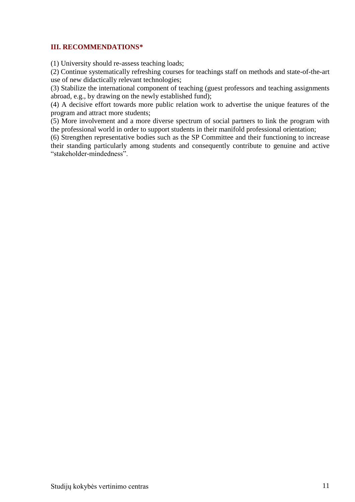## <span id="page-10-0"></span>**III. RECOMMENDATIONS\***

(1) University should re-assess teaching loads;

(2) Continue systematically refreshing courses for teachings staff on methods and state-of-the-art use of new didactically relevant technologies;

(3) Stabilize the international component of teaching (guest professors and teaching assignments abroad, e.g., by drawing on the newly established fund);

(4) A decisive effort towards more public relation work to advertise the unique features of the program and attract more students;

(5) More involvement and a more diverse spectrum of social partners to link the program with the professional world in order to support students in their manifold professional orientation;

(6) Strengthen representative bodies such as the SP Committee and their functioning to increase their standing particularly among students and consequently contribute to genuine and active "stakeholder-mindedness".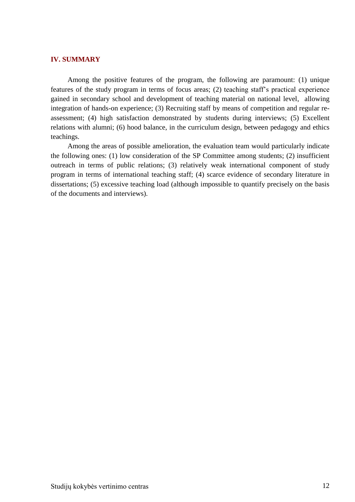#### <span id="page-11-0"></span>**IV. SUMMARY**

Among the positive features of the program, the following are paramount: (1) unique features of the study program in terms of focus areas; (2) teaching staff's practical experience gained in secondary school and development of teaching material on national level, allowing integration of hands-on experience; (3) Recruiting staff by means of competition and regular reassessment; (4) high satisfaction demonstrated by students during interviews; (5) Excellent relations with alumni; (6) hood balance, in the curriculum design, between pedagogy and ethics teachings.

Among the areas of possible amelioration, the evaluation team would particularly indicate the following ones: (1) low consideration of the SP Committee among students; (2) insufficient outreach in terms of public relations; (3) relatively weak international component of study program in terms of international teaching staff; (4) scarce evidence of secondary literature in dissertations; (5) excessive teaching load (although impossible to quantify precisely on the basis of the documents and interviews).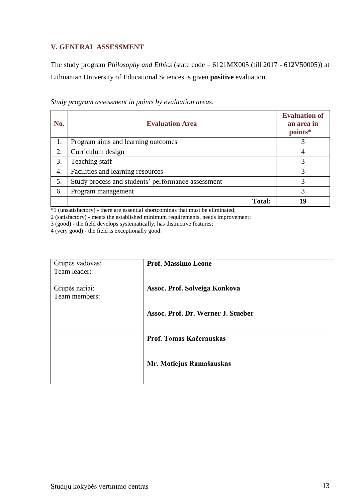## <span id="page-12-0"></span>**V. GENERAL ASSESSMENT**

The study program *Philosophy and Ethics* (state code – 6121MX005 (till 2017 - 612V50005)) at Lithuanian University of Educational Sciences is given **positive** evaluation.

| No. | <b>Evaluation Area</b>                             | <b>Evaluation of</b><br>an area in<br>points* |
|-----|----------------------------------------------------|-----------------------------------------------|
| 1.  | Program aims and learning outcomes                 |                                               |
| 2.  | Curriculum design                                  | 4                                             |
| 3.  | Teaching staff                                     | 3                                             |
| 4.  | Facilities and learning resources                  | 3                                             |
| 5.  | Study process and students' performance assessment | 3                                             |
| 6.  | Program management                                 | 3                                             |
|     | <b>Total:</b>                                      | q                                             |

*Study program assessment in points by evaluation areas*.

\*1 (unsatisfactory) - there are essential shortcomings that must be eliminated;

2 (satisfactory) - meets the established minimum requirements, needs improvement;

3 (good) - the field develops systematically, has distinctive features;

4 (very good) - the field is exceptionally good.

| Grupės vadovas:<br>Team leader: | <b>Prof. Massimo Leone</b>         |
|---------------------------------|------------------------------------|
| Grupės nariai:<br>Team members: | Assoc. Prof. Solveiga Konkova      |
|                                 | Assoc. Prof. Dr. Werner J. Stueber |
|                                 | Prof. Tomas Kačerauskas            |
|                                 | Mr. Motiejus Ramašauskas           |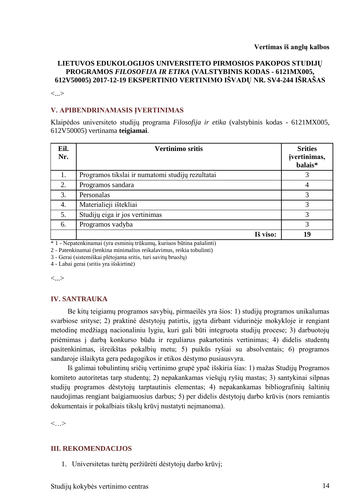### **LIETUVOS EDUKOLOGIJOS UNIVERSITETO PIRMOSIOS PAKOPOS STUDIJŲ PROGRAMOS** *FILOSOFIJA IR ETIKA* **(VALSTYBINIS KODAS - 6121MX005, 612V50005) 2017-12-19 EKSPERTINIO VERTINIMO IŠVADŲ NR. SV4-244 IŠRAŠAS**

<...>

### **V. APIBENDRINAMASIS ĮVERTINIMAS**

Klaipėdos universiteto studijų programa *Filosofija ir etika* (valstybinis kodas - 6121MX005, 612V50005) vertinama **teigiamai**.

| Eil.<br>Nr. | <b>Vertinimo sritis</b>                          | <b>Srities</b><br>įvertinimas,<br>balais* |
|-------------|--------------------------------------------------|-------------------------------------------|
| 1.          | Programos tikslai ir numatomi studijų rezultatai | 3                                         |
| 2.          | Programos sandara                                | 4                                         |
| 3.          | Personalas                                       | 3                                         |
| 4.          | Materialieji ištekliai                           | 3                                         |
| 5.          | Studijų eiga ir jos vertinimas                   | 3                                         |
| 6.          | Programos vadyba                                 | 3                                         |
|             | Iš viso:                                         | 19                                        |

\* 1 - Nepatenkinamai (yra esminių trūkumų, kuriuos būtina pašalinti)

2 - Patenkinamai (tenkina minimalius reikalavimus, reikia tobulinti)

3 - Gerai (sistemiškai plėtojama sritis, turi savitų bruožų)

4 - Labai gerai (sritis yra išskirtinė)

<...>

### **IV. SANTRAUKA**

Be kitų teigiamų programos savybių, pirmaeilės yra šios: 1) studijų programos unikalumas svarbiose srityse; 2) praktinė dėstytojų patirtis, įgyta dirbant vidurinėje mokykloje ir rengiant metodinę medžiagą nacionaliniu lygiu, kuri gali būti integruota studijų procese; 3) darbuotojų priėmimas į darbą konkurso būdu ir reguliarus pakartotinis vertinimas; 4) didelis studentų pasitenkinimas, išreikštas pokalbių metu; 5) puikūs ryšiai su absolventais; 6) programos sandaroje išlaikyta gera pedagogikos ir etikos dėstymo pusiausvyra.

Iš galimai tobulintinų sričių vertinimo grupė ypač išskiria šias: 1) mažas Studijų Programos komiteto autoritetas tarp studentų; 2) nepakankamas viešųjų ryšių mastas; 3) santykinai silpnas studijų programos dėstytojų tarptautinis elementas; 4) nepakankamas bibliografinių šaltinių naudojimas rengiant baigiamuosius darbus; 5) per didelis dėstytojų darbo krūvis (nors remiantis dokumentais ir pokalbiais tikslų krūvį nustatyti neįmanoma).

 $\langle \quad \rangle$ 

## **III. REKOMENDACIJOS**

1. Universitetas turėtų peržiūrėti dėstytojų darbo krūvį;